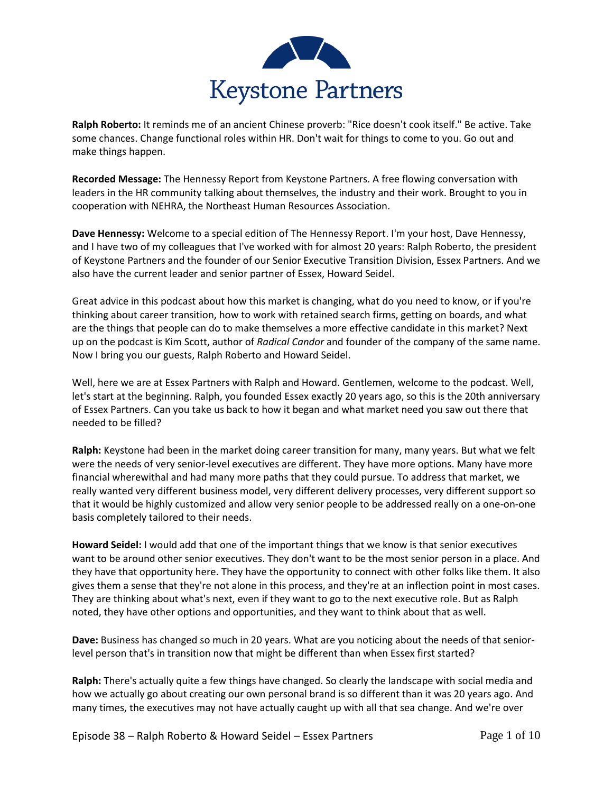

**Ralph Roberto:** It reminds me of an ancient Chinese proverb: "Rice doesn't cook itself." Be active. Take some chances. Change functional roles within HR. Don't wait for things to come to you. Go out and make things happen.

**Recorded Message:** The Hennessy Report from Keystone Partners. A free flowing conversation with leaders in the HR community talking about themselves, the industry and their work. Brought to you in cooperation with NEHRA, the Northeast Human Resources Association.

**Dave Hennessy:** Welcome to a special edition of The Hennessy Report. I'm your host, Dave Hennessy, and I have two of my colleagues that I've worked with for almost 20 years: Ralph Roberto, the president of Keystone Partners and the founder of our Senior Executive Transition Division, Essex Partners. And we also have the current leader and senior partner of Essex, Howard Seidel.

Great advice in this podcast about how this market is changing, what do you need to know, or if you're thinking about career transition, how to work with retained search firms, getting on boards, and what are the things that people can do to make themselves a more effective candidate in this market? Next up on the podcast is Kim Scott, author of *Radical Candor* and founder of the company of the same name. Now I bring you our guests, Ralph Roberto and Howard Seidel.

Well, here we are at Essex Partners with Ralph and Howard. Gentlemen, welcome to the podcast. Well, let's start at the beginning. Ralph, you founded Essex exactly 20 years ago, so this is the 20th anniversary of Essex Partners. Can you take us back to how it began and what market need you saw out there that needed to be filled?

**Ralph:** Keystone had been in the market doing career transition for many, many years. But what we felt were the needs of very senior-level executives are different. They have more options. Many have more financial wherewithal and had many more paths that they could pursue. To address that market, we really wanted very different business model, very different delivery processes, very different support so that it would be highly customized and allow very senior people to be addressed really on a one-on-one basis completely tailored to their needs.

**Howard Seidel:** I would add that one of the important things that we know is that senior executives want to be around other senior executives. They don't want to be the most senior person in a place. And they have that opportunity here. They have the opportunity to connect with other folks like them. It also gives them a sense that they're not alone in this process, and they're at an inflection point in most cases. They are thinking about what's next, even if they want to go to the next executive role. But as Ralph noted, they have other options and opportunities, and they want to think about that as well.

**Dave:** Business has changed so much in 20 years. What are you noticing about the needs of that seniorlevel person that's in transition now that might be different than when Essex first started?

**Ralph:** There's actually quite a few things have changed. So clearly the landscape with social media and how we actually go about creating our own personal brand is so different than it was 20 years ago. And many times, the executives may not have actually caught up with all that sea change. And we're over

Episode 38 – Ralph Roberto & Howard Seidel – Essex Partners Page 1 of 10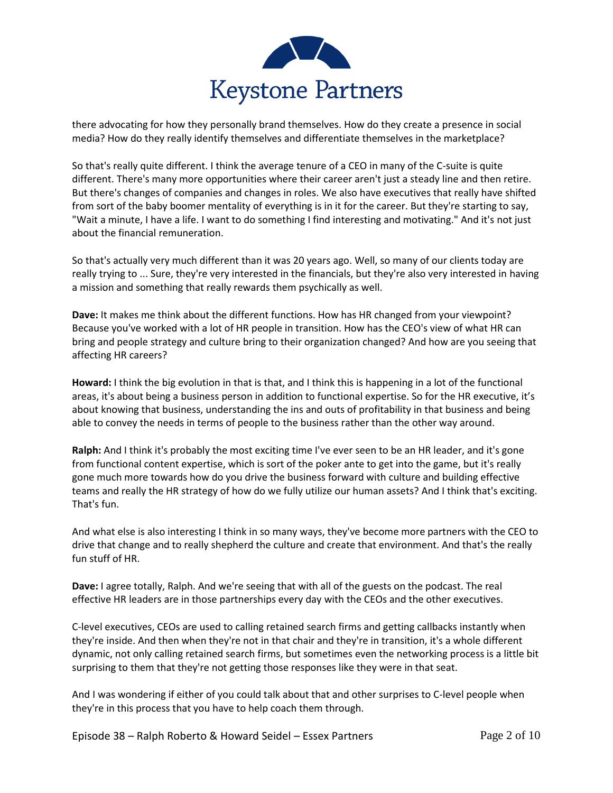

there advocating for how they personally brand themselves. How do they create a presence in social media? How do they really identify themselves and differentiate themselves in the marketplace?

So that's really quite different. I think the average tenure of a CEO in many of the C-suite is quite different. There's many more opportunities where their career aren't just a steady line and then retire. But there's changes of companies and changes in roles. We also have executives that really have shifted from sort of the baby boomer mentality of everything is in it for the career. But they're starting to say, "Wait a minute, I have a life. I want to do something I find interesting and motivating." And it's not just about the financial remuneration.

So that's actually very much different than it was 20 years ago. Well, so many of our clients today are really trying to ... Sure, they're very interested in the financials, but they're also very interested in having a mission and something that really rewards them psychically as well.

**Dave:** It makes me think about the different functions. How has HR changed from your viewpoint? Because you've worked with a lot of HR people in transition. How has the CEO's view of what HR can bring and people strategy and culture bring to their organization changed? And how are you seeing that affecting HR careers?

**Howard:** I think the big evolution in that is that, and I think this is happening in a lot of the functional areas, it's about being a business person in addition to functional expertise. So for the HR executive, it's about knowing that business, understanding the ins and outs of profitability in that business and being able to convey the needs in terms of people to the business rather than the other way around.

**Ralph:** And I think it's probably the most exciting time I've ever seen to be an HR leader, and it's gone from functional content expertise, which is sort of the poker ante to get into the game, but it's really gone much more towards how do you drive the business forward with culture and building effective teams and really the HR strategy of how do we fully utilize our human assets? And I think that's exciting. That's fun.

And what else is also interesting I think in so many ways, they've become more partners with the CEO to drive that change and to really shepherd the culture and create that environment. And that's the really fun stuff of HR.

**Dave:** I agree totally, Ralph. And we're seeing that with all of the guests on the podcast. The real effective HR leaders are in those partnerships every day with the CEOs and the other executives.

C-level executives, CEOs are used to calling retained search firms and getting callbacks instantly when they're inside. And then when they're not in that chair and they're in transition, it's a whole different dynamic, not only calling retained search firms, but sometimes even the networking process is a little bit surprising to them that they're not getting those responses like they were in that seat.

And I was wondering if either of you could talk about that and other surprises to C-level people when they're in this process that you have to help coach them through.

Episode 38 – Ralph Roberto & Howard Seidel – Essex Partners Page 2 of 10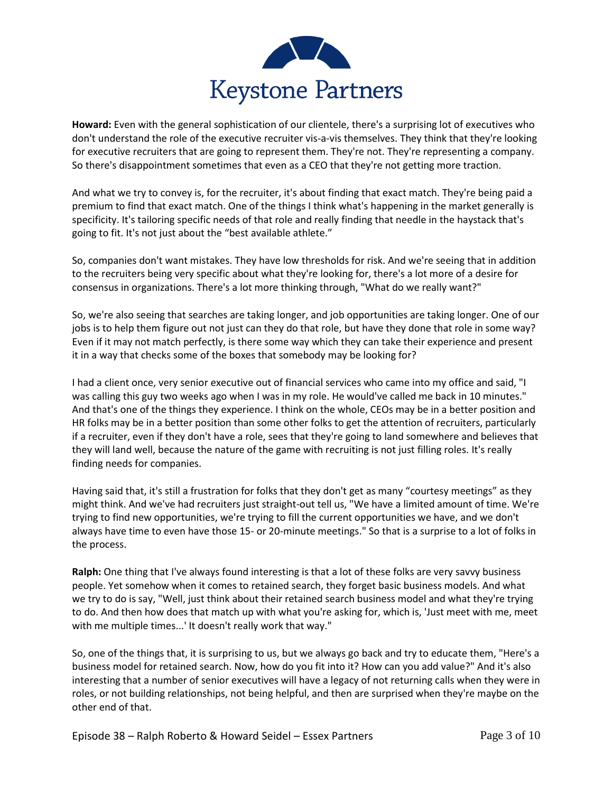

**Howard:** Even with the general sophistication of our clientele, there's a surprising lot of executives who don't understand the role of the executive recruiter vis-a-vis themselves. They think that they're looking for executive recruiters that are going to represent them. They're not. They're representing a company. So there's disappointment sometimes that even as a CEO that they're not getting more traction.

And what we try to convey is, for the recruiter, it's about finding that exact match. They're being paid a premium to find that exact match. One of the things I think what's happening in the market generally is specificity. It's tailoring specific needs of that role and really finding that needle in the haystack that's going to fit. It's not just about the "best available athlete."

So, companies don't want mistakes. They have low thresholds for risk. And we're seeing that in addition to the recruiters being very specific about what they're looking for, there's a lot more of a desire for consensus in organizations. There's a lot more thinking through, "What do we really want?"

So, we're also seeing that searches are taking longer, and job opportunities are taking longer. One of our jobs is to help them figure out not just can they do that role, but have they done that role in some way? Even if it may not match perfectly, is there some way which they can take their experience and present it in a way that checks some of the boxes that somebody may be looking for?

I had a client once, very senior executive out of financial services who came into my office and said, "I was calling this guy two weeks ago when I was in my role. He would've called me back in 10 minutes." And that's one of the things they experience. I think on the whole, CEOs may be in a better position and HR folks may be in a better position than some other folks to get the attention of recruiters, particularly if a recruiter, even if they don't have a role, sees that they're going to land somewhere and believes that they will land well, because the nature of the game with recruiting is not just filling roles. It's really finding needs for companies.

Having said that, it's still a frustration for folks that they don't get as many "courtesy meetings" as they might think. And we've had recruiters just straight-out tell us, "We have a limited amount of time. We're trying to find new opportunities, we're trying to fill the current opportunities we have, and we don't always have time to even have those 15- or 20-minute meetings." So that is a surprise to a lot of folks in the process.

**Ralph:** One thing that I've always found interesting is that a lot of these folks are very savvy business people. Yet somehow when it comes to retained search, they forget basic business models. And what we try to do is say, "Well, just think about their retained search business model and what they're trying to do. And then how does that match up with what you're asking for, which is, 'Just meet with me, meet with me multiple times...' It doesn't really work that way."

So, one of the things that, it is surprising to us, but we always go back and try to educate them, "Here's a business model for retained search. Now, how do you fit into it? How can you add value?" And it's also interesting that a number of senior executives will have a legacy of not returning calls when they were in roles, or not building relationships, not being helpful, and then are surprised when they're maybe on the other end of that.

Episode 38 – Ralph Roberto & Howard Seidel – Essex Partners Page 3 of 10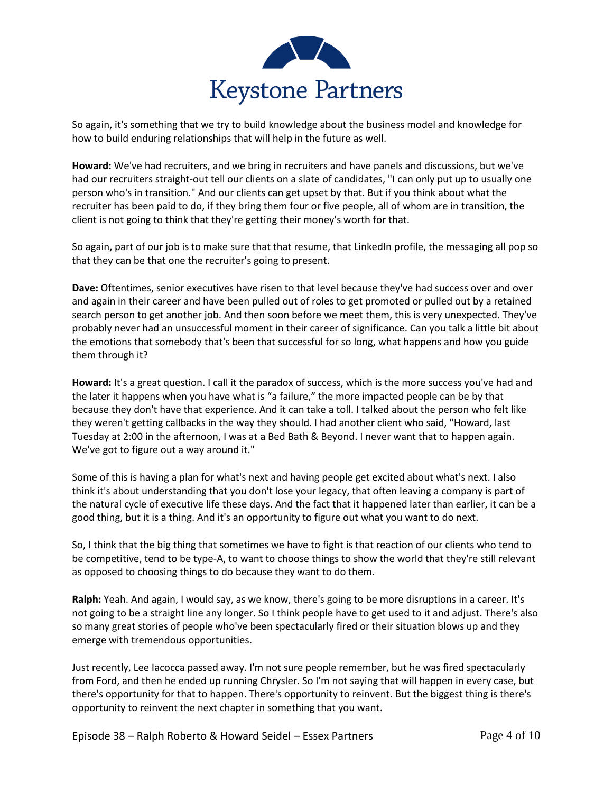

So again, it's something that we try to build knowledge about the business model and knowledge for how to build enduring relationships that will help in the future as well.

**Howard:** We've had recruiters, and we bring in recruiters and have panels and discussions, but we've had our recruiters straight-out tell our clients on a slate of candidates, "I can only put up to usually one person who's in transition." And our clients can get upset by that. But if you think about what the recruiter has been paid to do, if they bring them four or five people, all of whom are in transition, the client is not going to think that they're getting their money's worth for that.

So again, part of our job is to make sure that that resume, that LinkedIn profile, the messaging all pop so that they can be that one the recruiter's going to present.

**Dave:** Oftentimes, senior executives have risen to that level because they've had success over and over and again in their career and have been pulled out of roles to get promoted or pulled out by a retained search person to get another job. And then soon before we meet them, this is very unexpected. They've probably never had an unsuccessful moment in their career of significance. Can you talk a little bit about the emotions that somebody that's been that successful for so long, what happens and how you guide them through it?

**Howard:** It's a great question. I call it the paradox of success, which is the more success you've had and the later it happens when you have what is "a failure," the more impacted people can be by that because they don't have that experience. And it can take a toll. I talked about the person who felt like they weren't getting callbacks in the way they should. I had another client who said, "Howard, last Tuesday at 2:00 in the afternoon, I was at a Bed Bath & Beyond. I never want that to happen again. We've got to figure out a way around it."

Some of this is having a plan for what's next and having people get excited about what's next. I also think it's about understanding that you don't lose your legacy, that often leaving a company is part of the natural cycle of executive life these days. And the fact that it happened later than earlier, it can be a good thing, but it is a thing. And it's an opportunity to figure out what you want to do next.

So, I think that the big thing that sometimes we have to fight is that reaction of our clients who tend to be competitive, tend to be type-A, to want to choose things to show the world that they're still relevant as opposed to choosing things to do because they want to do them.

**Ralph:** Yeah. And again, I would say, as we know, there's going to be more disruptions in a career. It's not going to be a straight line any longer. So I think people have to get used to it and adjust. There's also so many great stories of people who've been spectacularly fired or their situation blows up and they emerge with tremendous opportunities.

Just recently, Lee Iacocca passed away. I'm not sure people remember, but he was fired spectacularly from Ford, and then he ended up running Chrysler. So I'm not saying that will happen in every case, but there's opportunity for that to happen. There's opportunity to reinvent. But the biggest thing is there's opportunity to reinvent the next chapter in something that you want.

Episode 38 – Ralph Roberto & Howard Seidel – Essex Partners Page 4 of 10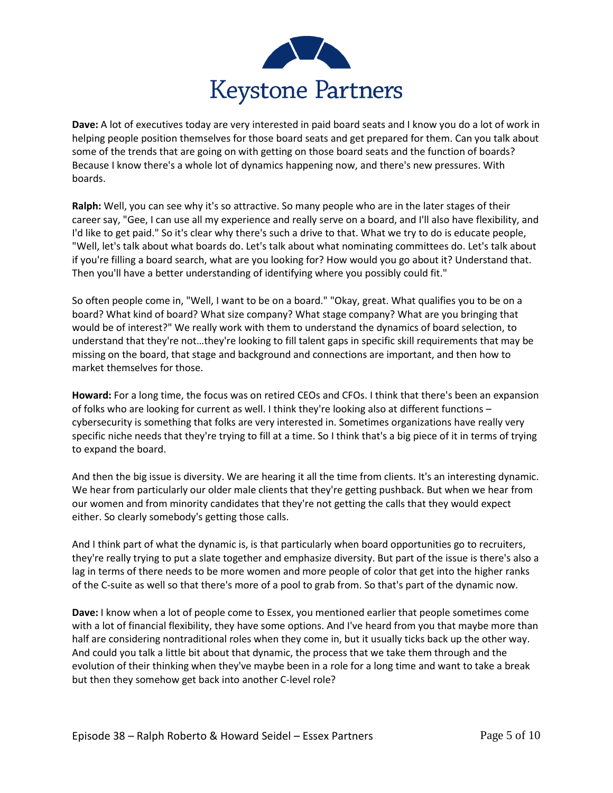

**Dave:** A lot of executives today are very interested in paid board seats and I know you do a lot of work in helping people position themselves for those board seats and get prepared for them. Can you talk about some of the trends that are going on with getting on those board seats and the function of boards? Because I know there's a whole lot of dynamics happening now, and there's new pressures. With boards.

**Ralph:** Well, you can see why it's so attractive. So many people who are in the later stages of their career say, "Gee, I can use all my experience and really serve on a board, and I'll also have flexibility, and I'd like to get paid." So it's clear why there's such a drive to that. What we try to do is educate people, "Well, let's talk about what boards do. Let's talk about what nominating committees do. Let's talk about if you're filling a board search, what are you looking for? How would you go about it? Understand that. Then you'll have a better understanding of identifying where you possibly could fit."

So often people come in, "Well, I want to be on a board." "Okay, great. What qualifies you to be on a board? What kind of board? What size company? What stage company? What are you bringing that would be of interest?" We really work with them to understand the dynamics of board selection, to understand that they're not…they're looking to fill talent gaps in specific skill requirements that may be missing on the board, that stage and background and connections are important, and then how to market themselves for those.

**Howard:** For a long time, the focus was on retired CEOs and CFOs. I think that there's been an expansion of folks who are looking for current as well. I think they're looking also at different functions – cybersecurity is something that folks are very interested in. Sometimes organizations have really very specific niche needs that they're trying to fill at a time. So I think that's a big piece of it in terms of trying to expand the board.

And then the big issue is diversity. We are hearing it all the time from clients. It's an interesting dynamic. We hear from particularly our older male clients that they're getting pushback. But when we hear from our women and from minority candidates that they're not getting the calls that they would expect either. So clearly somebody's getting those calls.

And I think part of what the dynamic is, is that particularly when board opportunities go to recruiters, they're really trying to put a slate together and emphasize diversity. But part of the issue is there's also a lag in terms of there needs to be more women and more people of color that get into the higher ranks of the C-suite as well so that there's more of a pool to grab from. So that's part of the dynamic now.

**Dave:** I know when a lot of people come to Essex, you mentioned earlier that people sometimes come with a lot of financial flexibility, they have some options. And I've heard from you that maybe more than half are considering nontraditional roles when they come in, but it usually ticks back up the other way. And could you talk a little bit about that dynamic, the process that we take them through and the evolution of their thinking when they've maybe been in a role for a long time and want to take a break but then they somehow get back into another C-level role?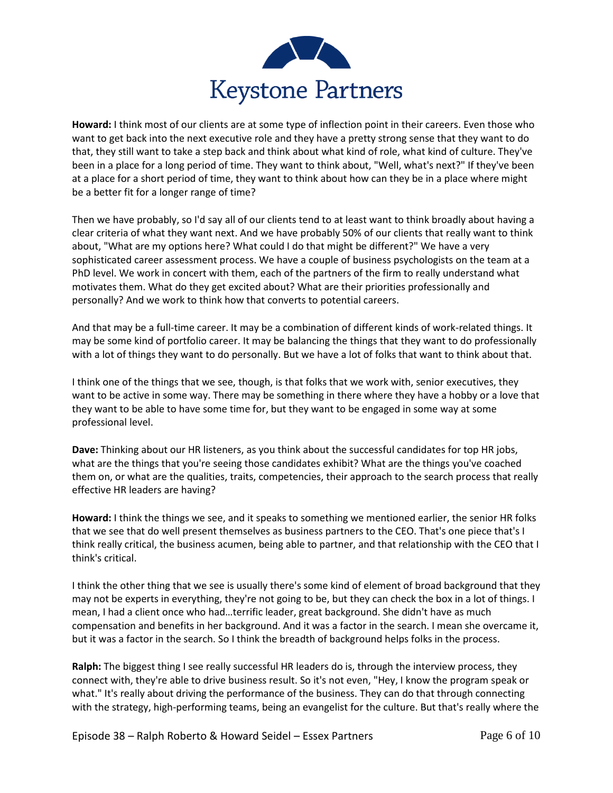

**Howard:** I think most of our clients are at some type of inflection point in their careers. Even those who want to get back into the next executive role and they have a pretty strong sense that they want to do that, they still want to take a step back and think about what kind of role, what kind of culture. They've been in a place for a long period of time. They want to think about, "Well, what's next?" If they've been at a place for a short period of time, they want to think about how can they be in a place where might be a better fit for a longer range of time?

Then we have probably, so I'd say all of our clients tend to at least want to think broadly about having a clear criteria of what they want next. And we have probably 50% of our clients that really want to think about, "What are my options here? What could I do that might be different?" We have a very sophisticated career assessment process. We have a couple of business psychologists on the team at a PhD level. We work in concert with them, each of the partners of the firm to really understand what motivates them. What do they get excited about? What are their priorities professionally and personally? And we work to think how that converts to potential careers.

And that may be a full-time career. It may be a combination of different kinds of work-related things. It may be some kind of portfolio career. It may be balancing the things that they want to do professionally with a lot of things they want to do personally. But we have a lot of folks that want to think about that.

I think one of the things that we see, though, is that folks that we work with, senior executives, they want to be active in some way. There may be something in there where they have a hobby or a love that they want to be able to have some time for, but they want to be engaged in some way at some professional level.

**Dave:** Thinking about our HR listeners, as you think about the successful candidates for top HR jobs, what are the things that you're seeing those candidates exhibit? What are the things you've coached them on, or what are the qualities, traits, competencies, their approach to the search process that really effective HR leaders are having?

**Howard:** I think the things we see, and it speaks to something we mentioned earlier, the senior HR folks that we see that do well present themselves as business partners to the CEO. That's one piece that's I think really critical, the business acumen, being able to partner, and that relationship with the CEO that I think's critical.

I think the other thing that we see is usually there's some kind of element of broad background that they may not be experts in everything, they're not going to be, but they can check the box in a lot of things. I mean, I had a client once who had…terrific leader, great background. She didn't have as much compensation and benefits in her background. And it was a factor in the search. I mean she overcame it, but it was a factor in the search. So I think the breadth of background helps folks in the process.

**Ralph:** The biggest thing I see really successful HR leaders do is, through the interview process, they connect with, they're able to drive business result. So it's not even, "Hey, I know the program speak or what." It's really about driving the performance of the business. They can do that through connecting with the strategy, high-performing teams, being an evangelist for the culture. But that's really where the

Episode 38 – Ralph Roberto & Howard Seidel – Essex Partners Page 6 of 10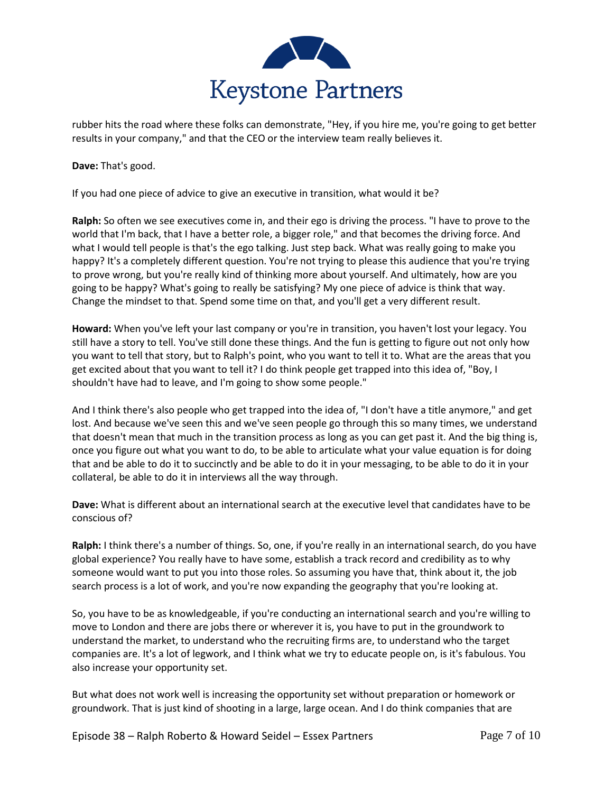

rubber hits the road where these folks can demonstrate, "Hey, if you hire me, you're going to get better results in your company," and that the CEO or the interview team really believes it.

**Dave:** That's good.

If you had one piece of advice to give an executive in transition, what would it be?

**Ralph:** So often we see executives come in, and their ego is driving the process. "I have to prove to the world that I'm back, that I have a better role, a bigger role," and that becomes the driving force. And what I would tell people is that's the ego talking. Just step back. What was really going to make you happy? It's a completely different question. You're not trying to please this audience that you're trying to prove wrong, but you're really kind of thinking more about yourself. And ultimately, how are you going to be happy? What's going to really be satisfying? My one piece of advice is think that way. Change the mindset to that. Spend some time on that, and you'll get a very different result.

**Howard:** When you've left your last company or you're in transition, you haven't lost your legacy. You still have a story to tell. You've still done these things. And the fun is getting to figure out not only how you want to tell that story, but to Ralph's point, who you want to tell it to. What are the areas that you get excited about that you want to tell it? I do think people get trapped into this idea of, "Boy, I shouldn't have had to leave, and I'm going to show some people."

And I think there's also people who get trapped into the idea of, "I don't have a title anymore," and get lost. And because we've seen this and we've seen people go through this so many times, we understand that doesn't mean that much in the transition process as long as you can get past it. And the big thing is, once you figure out what you want to do, to be able to articulate what your value equation is for doing that and be able to do it to succinctly and be able to do it in your messaging, to be able to do it in your collateral, be able to do it in interviews all the way through.

**Dave:** What is different about an international search at the executive level that candidates have to be conscious of?

**Ralph:** I think there's a number of things. So, one, if you're really in an international search, do you have global experience? You really have to have some, establish a track record and credibility as to why someone would want to put you into those roles. So assuming you have that, think about it, the job search process is a lot of work, and you're now expanding the geography that you're looking at.

So, you have to be as knowledgeable, if you're conducting an international search and you're willing to move to London and there are jobs there or wherever it is, you have to put in the groundwork to understand the market, to understand who the recruiting firms are, to understand who the target companies are. It's a lot of legwork, and I think what we try to educate people on, is it's fabulous. You also increase your opportunity set.

But what does not work well is increasing the opportunity set without preparation or homework or groundwork. That is just kind of shooting in a large, large ocean. And I do think companies that are

Episode 38 – Ralph Roberto & Howard Seidel – Essex Partners Page 7 of 10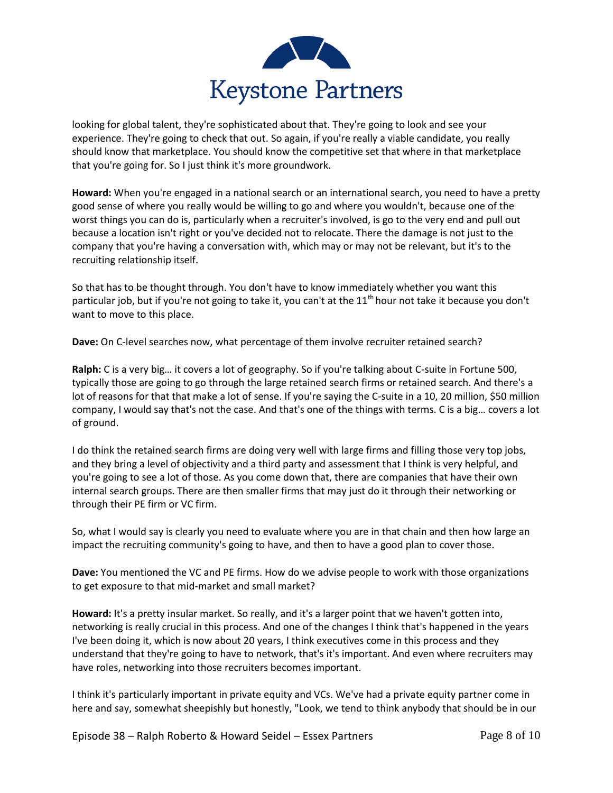

looking for global talent, they're sophisticated about that. They're going to look and see your experience. They're going to check that out. So again, if you're really a viable candidate, you really should know that marketplace. You should know the competitive set that where in that marketplace that you're going for. So I just think it's more groundwork.

**Howard:** When you're engaged in a national search or an international search, you need to have a pretty good sense of where you really would be willing to go and where you wouldn't, because one of the worst things you can do is, particularly when a recruiter's involved, is go to the very end and pull out because a location isn't right or you've decided not to relocate. There the damage is not just to the company that you're having a conversation with, which may or may not be relevant, but it's to the recruiting relationship itself.

So that has to be thought through. You don't have to know immediately whether you want this particular job, but if you're not going to take it, you can't at the 11<sup>th</sup> hour not take it because you don't want to move to this place.

**Dave:** On C-level searches now, what percentage of them involve recruiter retained search?

**Ralph:** C is a very big… it covers a lot of geography. So if you're talking about C-suite in Fortune 500, typically those are going to go through the large retained search firms or retained search. And there's a lot of reasons for that that make a lot of sense. If you're saying the C-suite in a 10, 20 million, \$50 million company, I would say that's not the case. And that's one of the things with terms. C is a big… covers a lot of ground.

I do think the retained search firms are doing very well with large firms and filling those very top jobs, and they bring a level of objectivity and a third party and assessment that I think is very helpful, and you're going to see a lot of those. As you come down that, there are companies that have their own internal search groups. There are then smaller firms that may just do it through their networking or through their PE firm or VC firm.

So, what I would say is clearly you need to evaluate where you are in that chain and then how large an impact the recruiting community's going to have, and then to have a good plan to cover those.

**Dave:** You mentioned the VC and PE firms. How do we advise people to work with those organizations to get exposure to that mid-market and small market?

**Howard:** It's a pretty insular market. So really, and it's a larger point that we haven't gotten into, networking is really crucial in this process. And one of the changes I think that's happened in the years I've been doing it, which is now about 20 years, I think executives come in this process and they understand that they're going to have to network, that's it's important. And even where recruiters may have roles, networking into those recruiters becomes important.

I think it's particularly important in private equity and VCs. We've had a private equity partner come in here and say, somewhat sheepishly but honestly, "Look, we tend to think anybody that should be in our

Episode 38 – Ralph Roberto & Howard Seidel – Essex Partners Page 8 of 10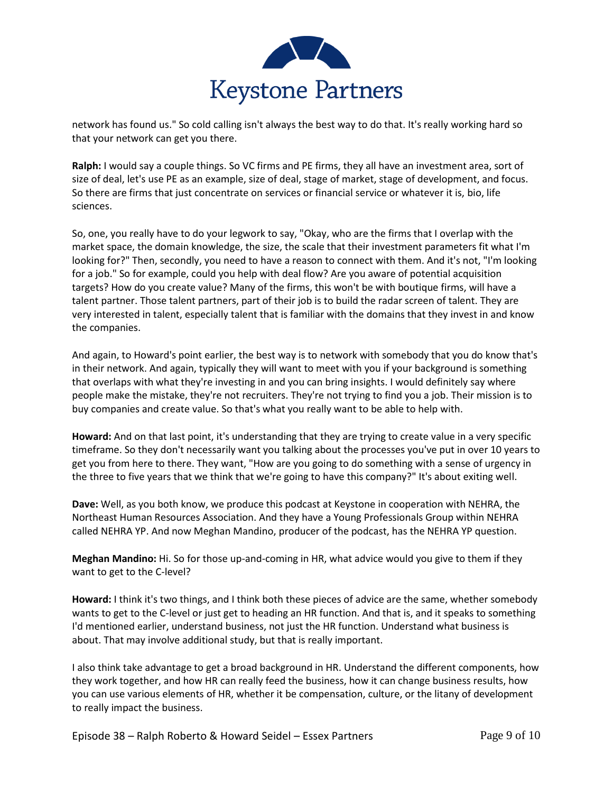

network has found us." So cold calling isn't always the best way to do that. It's really working hard so that your network can get you there.

**Ralph:** I would say a couple things. So VC firms and PE firms, they all have an investment area, sort of size of deal, let's use PE as an example, size of deal, stage of market, stage of development, and focus. So there are firms that just concentrate on services or financial service or whatever it is, bio, life sciences.

So, one, you really have to do your legwork to say, "Okay, who are the firms that I overlap with the market space, the domain knowledge, the size, the scale that their investment parameters fit what I'm looking for?" Then, secondly, you need to have a reason to connect with them. And it's not, "I'm looking for a job." So for example, could you help with deal flow? Are you aware of potential acquisition targets? How do you create value? Many of the firms, this won't be with boutique firms, will have a talent partner. Those talent partners, part of their job is to build the radar screen of talent. They are very interested in talent, especially talent that is familiar with the domains that they invest in and know the companies.

And again, to Howard's point earlier, the best way is to network with somebody that you do know that's in their network. And again, typically they will want to meet with you if your background is something that overlaps with what they're investing in and you can bring insights. I would definitely say where people make the mistake, they're not recruiters. They're not trying to find you a job. Their mission is to buy companies and create value. So that's what you really want to be able to help with.

**Howard:** And on that last point, it's understanding that they are trying to create value in a very specific timeframe. So they don't necessarily want you talking about the processes you've put in over 10 years to get you from here to there. They want, "How are you going to do something with a sense of urgency in the three to five years that we think that we're going to have this company?" It's about exiting well.

**Dave:** Well, as you both know, we produce this podcast at Keystone in cooperation with NEHRA, the Northeast Human Resources Association. And they have a Young Professionals Group within NEHRA called NEHRA YP. And now Meghan Mandino, producer of the podcast, has the NEHRA YP question.

**Meghan Mandino:** Hi. So for those up-and-coming in HR, what advice would you give to them if they want to get to the C-level?

**Howard:** I think it's two things, and I think both these pieces of advice are the same, whether somebody wants to get to the C-level or just get to heading an HR function. And that is, and it speaks to something I'd mentioned earlier, understand business, not just the HR function. Understand what business is about. That may involve additional study, but that is really important.

I also think take advantage to get a broad background in HR. Understand the different components, how they work together, and how HR can really feed the business, how it can change business results, how you can use various elements of HR, whether it be compensation, culture, or the litany of development to really impact the business.

Episode 38 – Ralph Roberto & Howard Seidel – Essex Partners Page 9 of 10